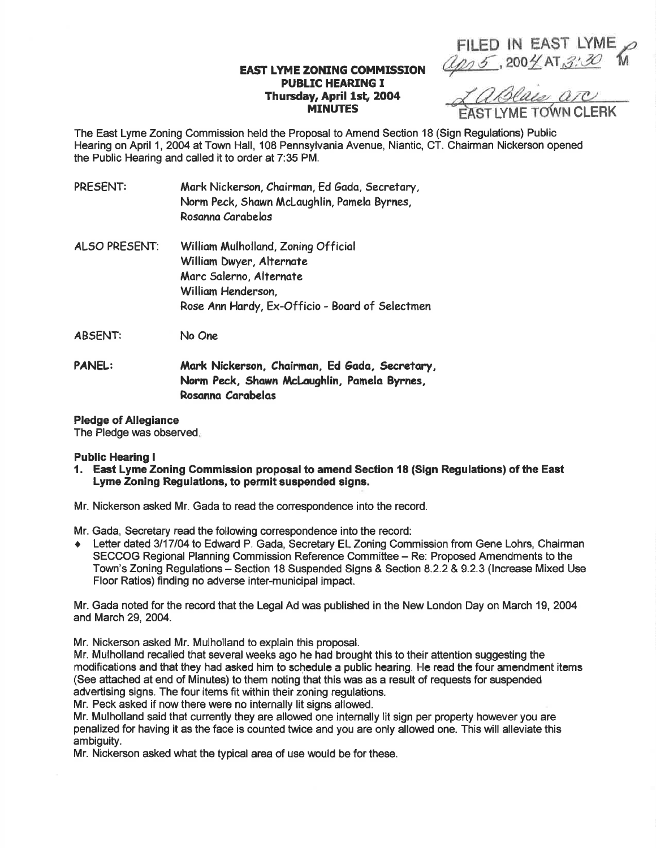FILED lN EAST LYME  $Q p_1 5.200 4A T_3.30$ 

## EAST LYME ZONING COMMISSION **PUBLIC HEARING I** Thursday, April 1st, 2004<br>MINUTES

<u>*A a Blais are*</u>

The East Lyme Zoning Commission held the Proposal to Amend Section 18 (Sign Regulations) Public Hearing on April 1,2004 at Town Hall, 108 Pennsylvania Avenue, Niantic, CT. Chairman Nickerson opened the Public Hearing and called it to order at 7:35 PM.

| PRESENT:      | Mark Nickerson, Chairman, Ed Gada, Secretary,<br>Norm Peck, Shawn McLaughlin, Pamela Byrnes,<br>Rosanna Carabelas |
|---------------|-------------------------------------------------------------------------------------------------------------------|
| ALSO PRESENT: | William Mulholland, Zoning Official                                                                               |
|               | William Dwyer, Alternate                                                                                          |
|               | Marc Salerno, Alternate                                                                                           |
|               | William Henderson,                                                                                                |
|               | Rose Ann Hardy, Ex-Officio - Board of Selectmen                                                                   |

ABsENT: No One

PANEL: Mark Nickerson, Chairman, Ed Gada, Secretary, Norm Peck, Shawn McLaughlin, Pamela Byrnes, Rosanno Corobelas

### Pledge of Allegiance

The Pledge was observed

### Public Hearing I

1. East Lyme Zoning Gommission proposal to amend Section 18 (Sign Regulations) of the East Lyme Zoning Regulations, to permit suspended signs.

Mr. Nickerson asked Mr. Gada to read the correspondence into the record.

Mr. Gada, Secretary read the following correspondence into the record:

♦ Letter dated 3/17/04 to Edward P. Gada, Secretary EL Zoning Commission from Gene Lohrs, Chairman SECCOG Regional Planning Commission Reference Committee - Re: Proposed Amendments to the Town's Zoning Regulations - Section 18 Suspended Signs & Section 8.2.2 & 9.2.3 (lncrease Mixed Use Floor Ratios) finding no adverse inter-municipal impact.

Mr. Gada noted for the record that the Legal Ad was published in the New London Day on March 19,2004 and March 29,2004.

Mr. Nickerson asked Mr. Mulholland to explain this proposal.

Mr. Mulholland recalled that several weeks ago he had brought this to their attention suggesting the modifications and that they had asked him to schedule a public hearing. He read the four amendment items (See attached at end of Minutes) to them noting that this was as a result of requests for suspended advertising signs. The four items fit within their zoning regulations.

Mr. Peck asked if now there were no internally lit signs allowed.

Mr. Mulholland said that currenfly they are allowed one internally lit sign per property however you are penalized for having it as the face is counted twice and you are only allowed one. This will alleviate this ambiguity.

Mr. Nickerson asked what the typical area of use would be for these.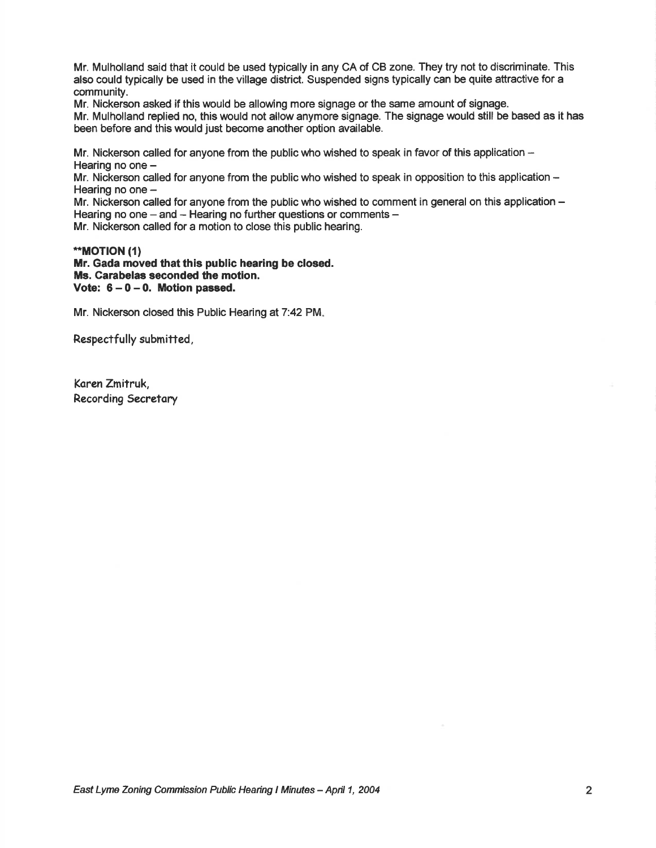Mr. Mulholland said that it could be used typically in any CA of CB zone. They try not to discriminate. This also could typically be used in the village district. Suspended signs typically can be quite attractive for a community.

Mr. Nickerson asked if this would be allowing more signage or the same amount of signage. Mr. Mulholland replied no, this would not allow anymore signage. The signage would still be based as it has been before and this would just become another option available.

Mr. Nickerson called for anyone from the public who wished to speak in favor of this application  $-$ Hearing no one -

Mr. Nickerson called for anyone from the public who wished to speak in opposition to this application -Hearing no one  $-$ 

Mr. Nickerson called for anyone from the public who wished to comment in general on this application – Hearing no one  $-$  and  $-$  Hearing no further questions or comments  $-$ 

Mr. Nickerson called for a motion to close this public hearing.

### \*MOT|ON (1)

Mr. Gada moved that this public hearing be closed. Ms. Carabelas seconded the motion. Vote:  $6-0-0$ . Motion passed.

Mr. Nickerson closed this Public Hearing at 7:42 PM.

Respectfully submitted,

Koren Zmitruk, Recording Secretory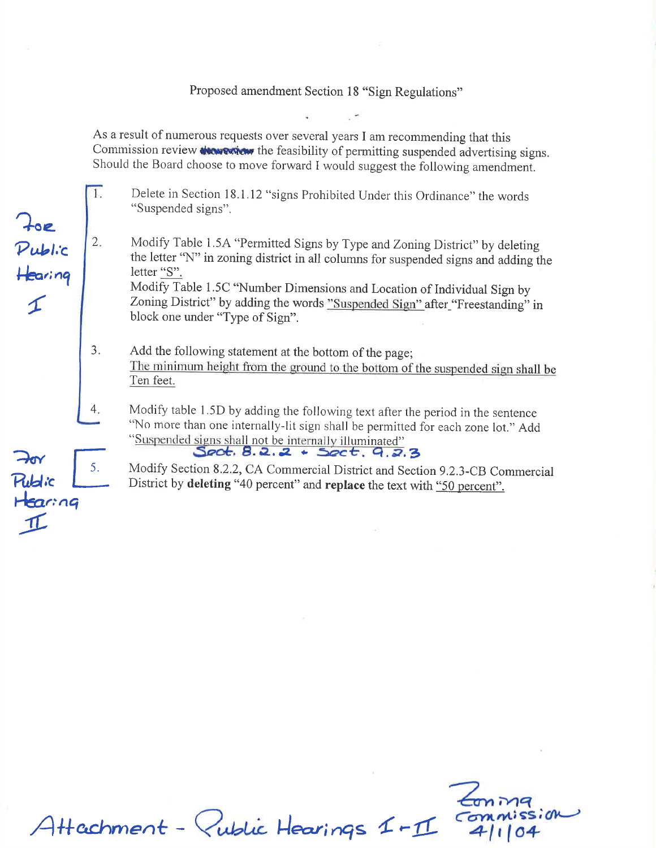## Proposed amendment Section 18 "Sign Regulations"

As a result of numerous requests over several years I am recommending that this Commission review *Now extern* the feasibility of permitting suspended advertising signs. Should the Board choose to move forward I would suggest the following amendment.

Delete in Section l8.l.l2 "signs Prohibited Under this Ordinance" the words "Suspended signs".

?o.

 $\mathcal P$ ubl. $\mathcal C$ 

Hearing

4

 $\overline{1}$ 

 $:$ ng

 $\mathcal{I}$ 

 $\rightarrow$ or

**Rublic** 

 $H$ 

Modify Table 1.5A "Permitted signs by Type and Zoning District" by deleting the letter "N" in zoning district in all columns for suspended signs and adding the letter "S". 2

Modify Table 1.5c "Number Dimensions and tocation of Individual sign by Zoning District" by adding the words "Suspended Sign" after "Freestanding" in block one under "Type of Sign".

- 3. Add the following statement at the bottom of the page; The minimum height from the ground to the bottom of the suspended sign shall be Ten feet.
- Modify table l.5D by adding the following text after the period in the sentence "No more than one internally-lit sign shall be permitted for each zone lot." Add  $\frac{1}{\sqrt{1-\frac{1}{\sqrt{1-\frac{1}{\sqrt{1-\frac{1}{\sqrt{1-\frac{1}{\sqrt{1-\frac{1}{\sqrt{1-\frac{1}{\sqrt{1-\frac{1}{\sqrt{1-\frac{1}{\sqrt{1-\frac{1}{\sqrt{1-\frac{1}{\sqrt{1-\frac{1}{\sqrt{1-\frac{1}{\sqrt{1-\frac{1}{\sqrt{1-\frac{1}{\sqrt{1-\frac{1}{\sqrt{1-\frac{1}{\sqrt{1-\frac{1}{\sqrt{1-\frac{1}{\sqrt{1-\frac{1}{\sqrt{1-\frac{1}{\sqrt{1-\frac{1}{\sqrt{1-\frac{1}{\sqrt{1-\frac{1}{\sqrt{1-\frac{1$ "Suspended signs shall not be internally illuminated"<br>Soct. 8.2.2 + Soct. 9.2.3
	- Modify Section 8.2,2, cA commercial District and section 9.2.3-cB Commercial District by deleting "40 percent" and replace the text with "50 percent".

Attachment - Public Hearings 1-11 Commission  $\epsilon$ oniv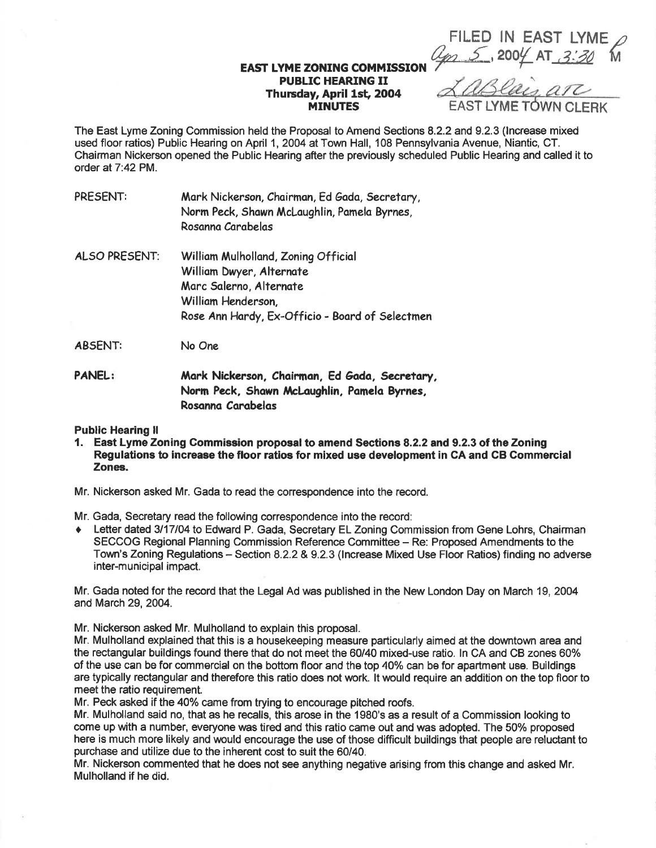FILED IN EAST LYME ap 5,2004 AT 3:30

### EAST IYME ZONING COMMISSION PUBLIC HEARING II Thunsday, April lst, 2O04 **MINUTES**

The East Lyme Zoning Commission held the Proposal to Amend Sections 8.2.2 and 9.2.3 (lncrease mixed used floor ratios) Public Hearing on April 1,2004 at Town Hall, 108 Pennsylvania Avenue, Niantic, CT. Chairman Nickerson opened the Public Hearing after the previously scheduled Public Hearing and called it to order at 7:42PM.

| PRESENT: | Mark Nickerson, Chairman, Ed Gada, Secretary, |
|----------|-----------------------------------------------|
|          | Norm Peck, Shawn McLaughlin, Pamela Byrnes,   |
|          | Rosanna Carabelas                             |
|          |                                               |

- ALSO PRESENT: William Mulholland, Zoning Official Williom Dwyer, Alternate Morc Solerno, Alternote William Henderson, Rose Ann Hardy, Ex-Officio - Board of Selectmen
- ABSENT: No One
- PANEL: Mark Nickerson, Chairman, Ed Gada, Secretary, Norm Peck, Shawn McLaughlin, Pamela Byrnes, Rosonno Carabelos

### Public Hearing ll

- 1. East Lyme Zoning Gommission prcposal to amend Sections 8.2.2 and 9.2.3 of the Zoning Regulations to increase the floor ratios for mixed use development in GA and CB Commercial Zones.
- Mr. Nickerson asked Mr. Gada to read the correspondence into the record.

Mr. Gada, Secretary read the following correspondence into the record:

Letter dated 3/17/04 to Edward P. Gada, Secretary EL Zoning Commission from Gene Lohrs, Chairman SECCOG Regional Planning Commission Reference Committee - Re: Proposed Amendments to the Town's Zoning Regulations - Section 8.2.2 & 9.2.3 (Increase Mixed Use Floor Ratios) finding no adverse inter-municipal impact.

Mr. Gada noted for the record that the Legal Ad was published in the New London Day on March 19,2004 and March 29,2004.

Mr. Nickerson asked Mr. Mulholland to explain this proposal.

Mr. Mulholland explained that this is a housekeeping measure particularly aimed at the downtown area and the rectangular buildings found there that do not meet the 60/40 mixed-use ratio. ln CA and CB zones 60% of the use can be for commercial on the bottom floor and the top 40% can be for apartment use. Buildings are typically rectangular and therefore this ratio does not work. lt would require an addition on the top floor to meet the ratio requirement.

Mr. Peck asked if the 40% came from trying to encourage pitched roofs.

Mr. Mulholland said no, that as he recalls, this arose in the 1980's as a result of a Commission looking to come up with a number, everyone was tired and this ratio came out and was adopted. The 50% proposed here is much more likely and would encourage the use of those difficult buildings that people are reluctant to purchase and utilize due to the inherent cost to suit the 60/40.

Mr. Nickerson commented that he does not see anything negative arising from this change and asked Mr. Mulholland if he did.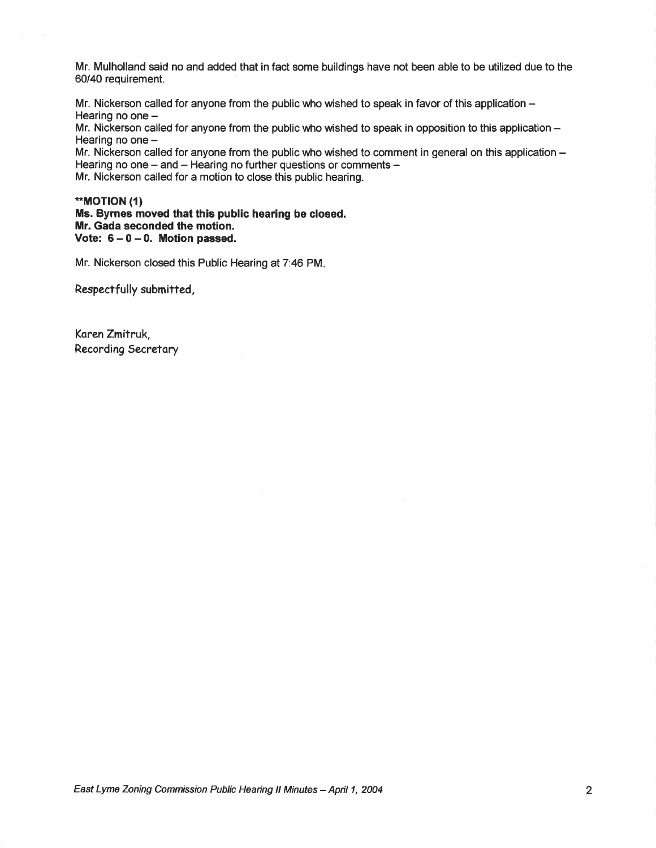Mr. Mulholland said no and added that in fact some buildings have not been able to be utilized due to the 60/40 requirement.

Mr. Nickerson called for anyone from the public who wished to speak in favor of this application  $-$ Hearing no one -

Mr. Nickerson called for anyone from the public who wished to speak in opposition to this application  $-$ Hearing no one  $-$ 

Mr. Nickerson called for anyone from the public who wished to comment in general on this application – Hearing no one  $-$  and  $-$  Hearing no further questions or comments  $-$ 

Mr. Nickerson called for a motion to close this public hearing.

\*\*MOTION (1) Ms. Byrnes moved that this public hearing be closed. Mr. Gada seconded the motion. Vote:  $6-0-0$ . Motion passed.

Mr. Nickerson closed this Public Hearing at 7:46 PM.

Respectfully submitted,

Koren Zmitruk, Recording Secretory